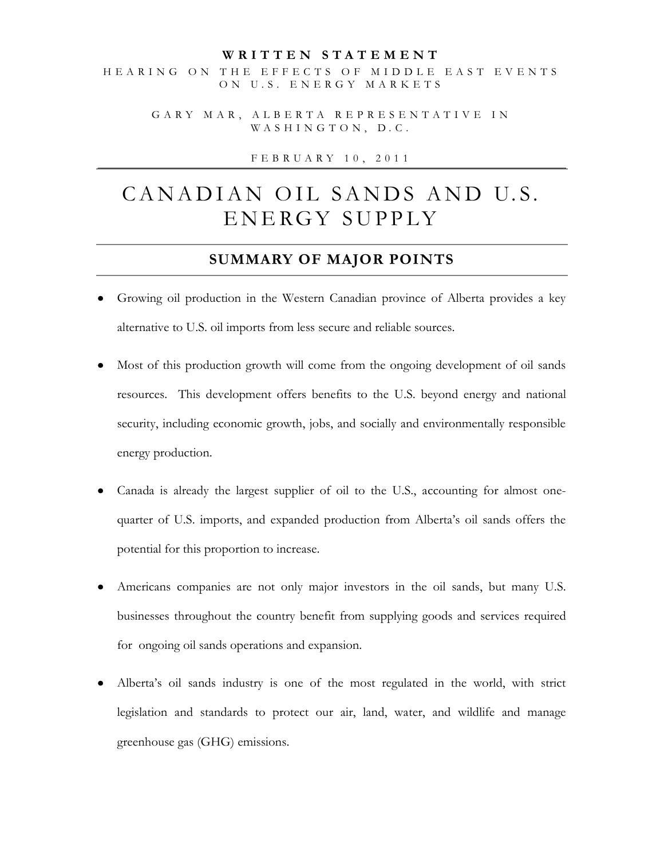#### **W R I T T E N S T A T E M E N T**

HEARING ON THE EFFECTS OF MIDDLE EAST EVENTS ON U.S. ENERGY MARKETS

G A R Y M A R , A L B E R T A R E P R E S E N T A T I V E I N WASHINGTON, D.C.

F E B R U A R Y 1 0 , 2 0 1 1

# CANADIAN OIL SANDS AND U.S. ENERGY SUPPLY

#### **SUMMARY OF MAJOR POINTS**

- Growing oil production in the Western Canadian province of Alberta provides a key alternative to U.S. oil imports from less secure and reliable sources.
- Most of this production growth will come from the ongoing development of oil sands resources. This development offers benefits to the U.S. beyond energy and national security, including economic growth, jobs, and socially and environmentally responsible energy production.
- Canada is already the largest supplier of oil to the U.S., accounting for almost onequarter of U.S. imports, and expanded production from Alberta's oil sands offers the potential for this proportion to increase.
- Americans companies are not only major investors in the oil sands, but many U.S. businesses throughout the country benefit from supplying goods and services required for ongoing oil sands operations and expansion.
- Alberta's oil sands industry is one of the most regulated in the world, with strict legislation and standards to protect our air, land, water, and wildlife and manage greenhouse gas (GHG) emissions.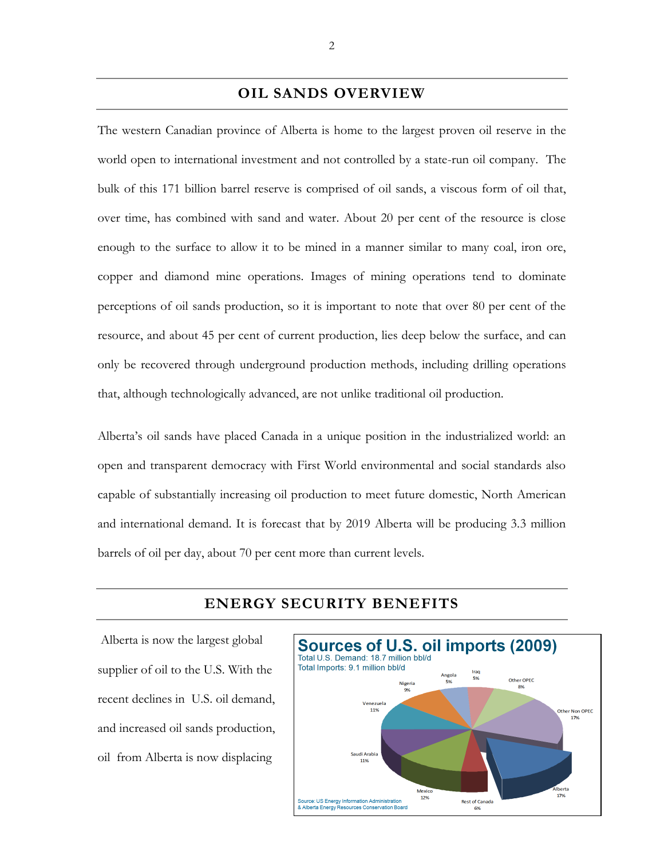#### **OIL SANDS OVERVIEW**

The western Canadian province of Alberta is home to the largest proven oil reserve in the world open to international investment and not controlled by a state-run oil company. The bulk of this 171 billion barrel reserve is comprised of oil sands, a viscous form of oil that, over time, has combined with sand and water. About 20 per cent of the resource is close enough to the surface to allow it to be mined in a manner similar to many coal, iron ore, copper and diamond mine operations. Images of mining operations tend to dominate perceptions of oil sands production, so it is important to note that over 80 per cent of the resource, and about 45 per cent of current production, lies deep below the surface, and can only be recovered through underground production methods, including drilling operations that, although technologically advanced, are not unlike traditional oil production.

Alberta's oil sands have placed Canada in a unique position in the industrialized world: an open and transparent democracy with First World environmental and social standards also capable of substantially increasing oil production to meet future domestic, North American and international demand. It is forecast that by 2019 Alberta will be producing 3.3 million barrels of oil per day, about 70 per cent more than current levels.

#### Sources of U.S. oil imports (2009) Total U.S. Demand: 18.7 million bbl/d Total Imports: 9.1 million bbl/d Other OPEC Venezuela Other Non OPEC 17% Saudi Arabia 11% Mexico 12% **Rest of Canada** iergy Info & Alberta Energy Resources Conservation Board 6%

#### **ENERGY SECURITY BENEFITS**

Alberta is now the largest global supplier of oil to the U.S. With the recent declines in U.S. oil demand, and increased oil sands production, oil from Alberta is now displacing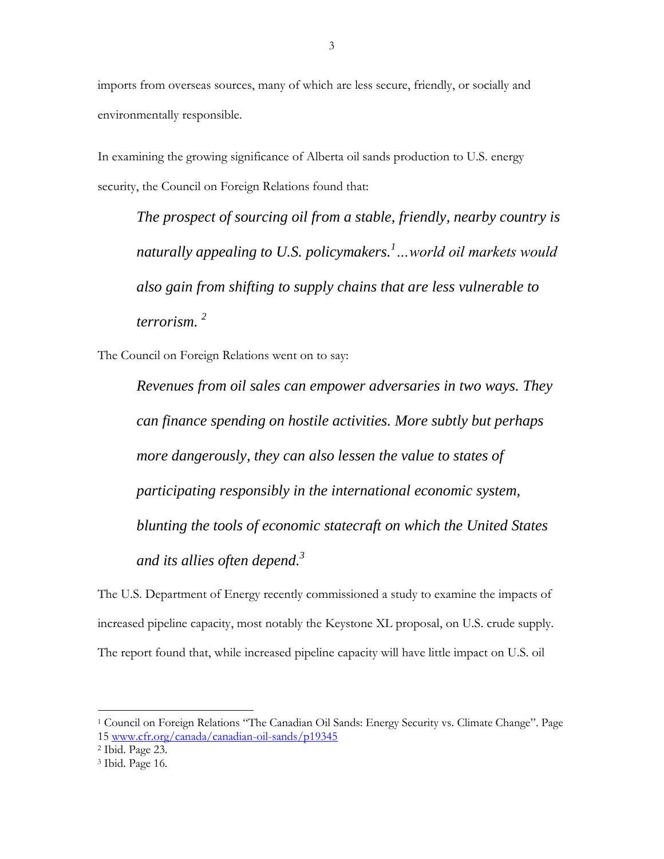imports from overseas sources, many of which are less secure, friendly, or socially and environmentally responsible.

In examining the growing significance of Alberta oil sands production to U.S. energy security, the Council on Foreign Relations found that:

*The prospect of sourcing oil from a stable, friendly, nearby country is naturally appealing to U.S. policymakers.<sup>1</sup>…world oil markets would also gain from shifting to supply chains that are less vulnerable to terrorism. <sup>2</sup>*

The Council on Foreign Relations went on to say:

*Revenues from oil sales can empower adversaries in two ways. They can finance spending on hostile activities. More subtly but perhaps more dangerously, they can also lessen the value to states of participating responsibly in the international economic system, blunting the tools of economic statecraft on which the United States and its allies often depend.<sup>3</sup>*

The U.S. Department of Energy recently commissioned a study to examine the impacts of increased pipeline capacity, most notably the Keystone XL proposal, on U.S. crude supply. The report found that, while increased pipeline capacity will have little impact on U.S. oil

 $\overline{a}$ 

<sup>1</sup> Council on Foreign Relations "The Canadian Oil Sands: Energy Security vs. Climate Change". Page 15 [www.cfr.org/canada/canadian-oil-sands/p19345](http://www.cfr.org/canada/canadian-oil-sands/p19345)

<sup>2</sup> Ibid. Page 23.

<sup>3</sup> Ibid. Page 16.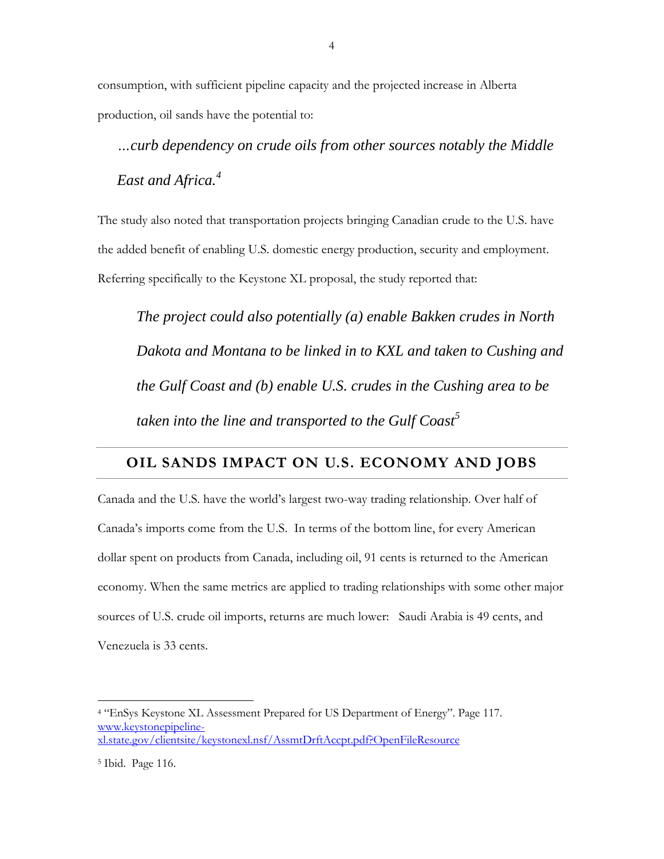consumption, with sufficient pipeline capacity and the projected increase in Alberta production, oil sands have the potential to:

*…curb dependency on crude oils from other sources notably the Middle East and Africa.<sup>4</sup>*

The study also noted that transportation projects bringing Canadian crude to the U.S. have the added benefit of enabling U.S. domestic energy production, security and employment. Referring specifically to the Keystone XL proposal, the study reported that:

*The project could also potentially (a) enable Bakken crudes in North Dakota and Montana to be linked in to KXL and taken to Cushing and the Gulf Coast and (b) enable U.S. crudes in the Cushing area to be taken into the line and transported to the Gulf Coast<sup>5</sup>*

### **OIL SANDS IMPACT ON U.S. ECONOMY AND JOBS**

Canada and the U.S. have the world's largest two-way trading relationship. Over half of Canada's imports come from the U.S. In terms of the bottom line, for every American dollar spent on products from Canada, including oil, 91 cents is returned to the American economy. When the same metrics are applied to trading relationships with some other major sources of U.S. crude oil imports, returns are much lower: Saudi Arabia is 49 cents, and Venezuela is 33 cents.

 $\overline{a}$ 

<sup>4</sup> "EnSys Keystone XL Assessment Prepared for US Department of Energy". Page 117. [www.keystonepipeline](http://www.keystonepipeline-xl.state.gov/clientsite/keystonexl.nsf/AssmtDrftAccpt.pdf?OpenFileResource)[xl.state.gov/clientsite/keystonexl.nsf/AssmtDrftAccpt.pdf?OpenFileResource](http://www.keystonepipeline-xl.state.gov/clientsite/keystonexl.nsf/AssmtDrftAccpt.pdf?OpenFileResource)

<sup>5</sup> Ibid. Page 116.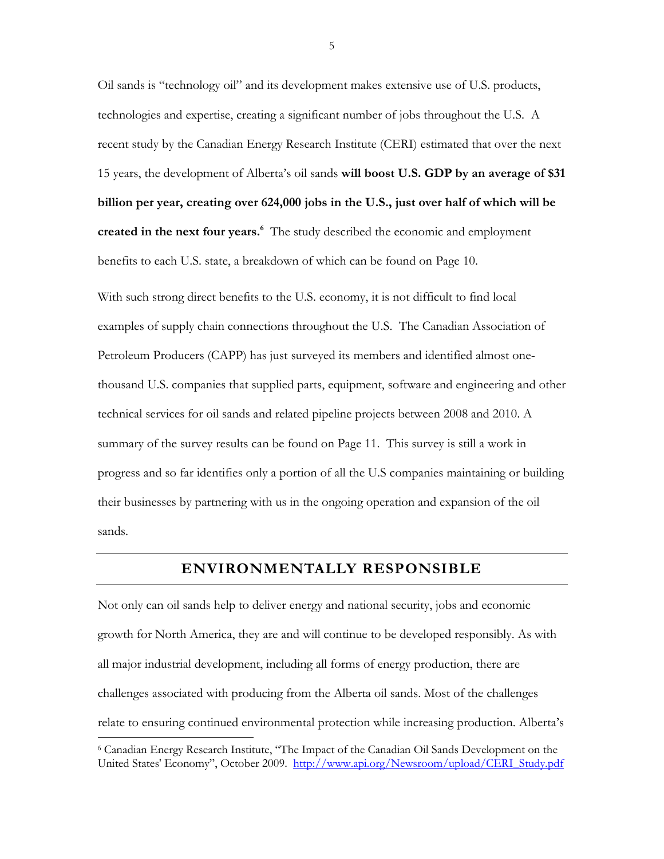Oil sands is "technology oil" and its development makes extensive use of U.S. products, technologies and expertise, creating a significant number of jobs throughout the U.S. A recent study by the Canadian Energy Research Institute (CERI) estimated that over the next 15 years, the development of Alberta's oil sands **will boost U.S. GDP by an average of \$31 billion per year, creating over 624,000 jobs in the U.S., just over half of which will be created in the next four years.<sup>6</sup>** The study described the economic and employment benefits to each U.S. state, a breakdown of which can be found on Page 10.

With such strong direct benefits to the U.S. economy, it is not difficult to find local examples of supply chain connections throughout the U.S. The Canadian Association of Petroleum Producers (CAPP) has just surveyed its members and identified almost onethousand U.S. companies that supplied parts, equipment, software and engineering and other technical services for oil sands and related pipeline projects between 2008 and 2010. A summary of the survey results can be found on Page 11. This survey is still a work in progress and so far identifies only a portion of all the U.S companies maintaining or building their businesses by partnering with us in the ongoing operation and expansion of the oil sands.

## **ENVIRONMENTALLY RESPONSIBLE**

Not only can oil sands help to deliver energy and national security, jobs and economic growth for North America, they are and will continue to be developed responsibly. As with all major industrial development, including all forms of energy production, there are challenges associated with producing from the Alberta oil sands. Most of the challenges relate to ensuring continued environmental protection while increasing production. Alberta's  $\overline{a}$ 

<sup>6</sup> Canadian Energy Research Institute, "The Impact of the Canadian Oil Sands Development on the United States' Economy", October 2009. [http://www.api.org/Newsroom/upload/CERI\\_Study.pdf](http://www.api.org/Newsroom/upload/CERI_Study.pdf)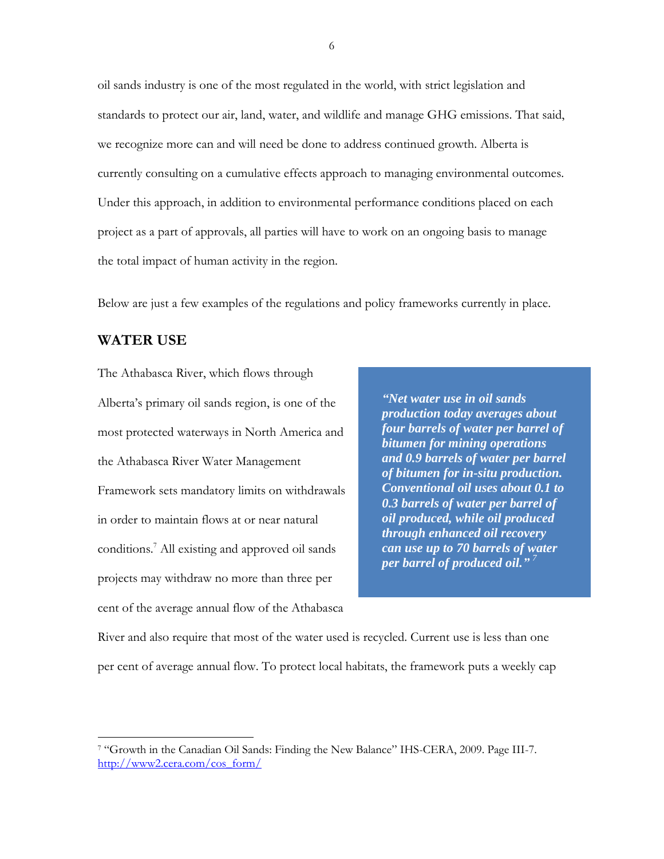oil sands industry is one of the most regulated in the world, with strict legislation and standards to protect our air, land, water, and wildlife and manage GHG emissions. That said, we recognize more can and will need be done to address continued growth. Alberta is currently consulting on a cumulative effects approach to managing environmental outcomes. Under this approach, in addition to environmental performance conditions placed on each project as a part of approvals, all parties will have to work on an ongoing basis to manage the total impact of human activity in the region.

Below are just a few examples of the regulations and policy frameworks currently in place.

#### **WATER USE**

 $\overline{a}$ 

The Athabasca River, which flows through Alberta's primary oil sands region, is one of the most protected waterways in North America and the Athabasca River Water Management Framework sets mandatory limits on withdrawals in order to maintain flows at or near natural conditions.<sup>7</sup> All existing and approved oil sands projects may withdraw no more than three per cent of the average annual flow of the Athabasca

*"Net water use in oil sands production today averages about four barrels of water per barrel of bitumen for mining operations and 0.9 barrels of water per barrel of bitumen for in-situ production. Conventional oil uses about 0.1 to 0.3 barrels of water per barrel of oil produced, while oil produced through enhanced oil recovery can use up to 70 barrels of water per barrel of produced oil." <sup>7</sup>*

River and also require that most of the water used is recycled. Current use is less than one per cent of average annual flow. To protect local habitats, the framework puts a weekly cap

<sup>7</sup> "Growth in the Canadian Oil Sands: Finding the New Balance" IHS-CERA, 2009. Page III-7. [http://www2.cera.com/cos\\_form/](http://www2.cera.com/cos_form/)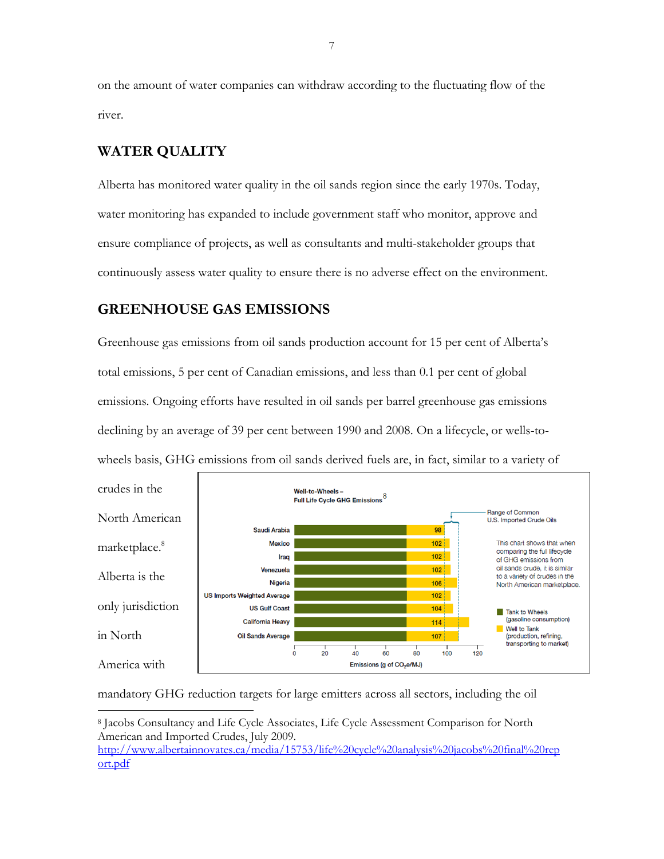on the amount of water companies can withdraw according to the fluctuating flow of the river.

#### **WATER QUALITY**

 $\overline{a}$ 

Alberta has monitored water quality in the oil sands region since the early 1970s. Today, water monitoring has expanded to include government staff who monitor, approve and ensure compliance of projects, as well as consultants and multi-stakeholder groups that continuously assess water quality to ensure there is no adverse effect on the environment.

#### **GREENHOUSE GAS EMISSIONS**

Greenhouse gas emissions from oil sands production account for 15 per cent of Alberta's total emissions, 5 per cent of Canadian emissions, and less than 0.1 per cent of global emissions. Ongoing efforts have resulted in oil sands per barrel greenhouse gas emissions declining by an average of 39 per cent between 1990 and 2008. On a lifecycle, or wells-towheels basis, GHG emissions from oil sands derived fuels are, in fact, similar to a variety of



mandatory GHG reduction targets for large emitters across all sectors, including the oil

<sup>8</sup> Jacobs Consultancy and Life Cycle Associates, Life Cycle Assessment Comparison for North American and Imported Crudes, July 2009.

[http://www.albertainnovates.ca/media/15753/life%20cycle%20analysis%20jacobs%20final%20rep](http://www.albertainnovates.ca/media/15753/life%20cycle%20analysis%20jacobs%20final%20report.pdf) [ort.pdf](http://www.albertainnovates.ca/media/15753/life%20cycle%20analysis%20jacobs%20final%20report.pdf)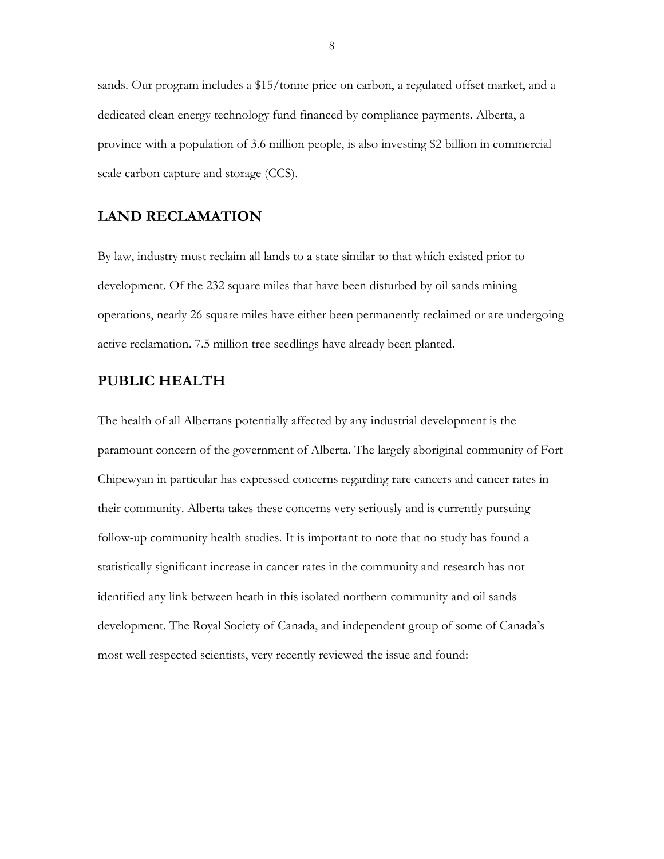sands. Our program includes a \$15/tonne price on carbon, a regulated offset market, and a dedicated clean energy technology fund financed by compliance payments. Alberta, a province with a population of 3.6 million people, is also investing \$2 billion in commercial scale carbon capture and storage (CCS).

#### **LAND RECLAMATION**

By law, industry must reclaim all lands to a state similar to that which existed prior to development. Of the 232 square miles that have been disturbed by oil sands mining operations, nearly 26 square miles have either been permanently reclaimed or are undergoing active reclamation. 7.5 million tree seedlings have already been planted.

#### **PUBLIC HEALTH**

The health of all Albertans potentially affected by any industrial development is the paramount concern of the government of Alberta. The largely aboriginal community of Fort Chipewyan in particular has expressed concerns regarding rare cancers and cancer rates in their community. Alberta takes these concerns very seriously and is currently pursuing follow-up community health studies. It is important to note that no study has found a statistically significant increase in cancer rates in the community and research has not identified any link between heath in this isolated northern community and oil sands development. The Royal Society of Canada, and independent group of some of Canada's most well respected scientists, very recently reviewed the issue and found: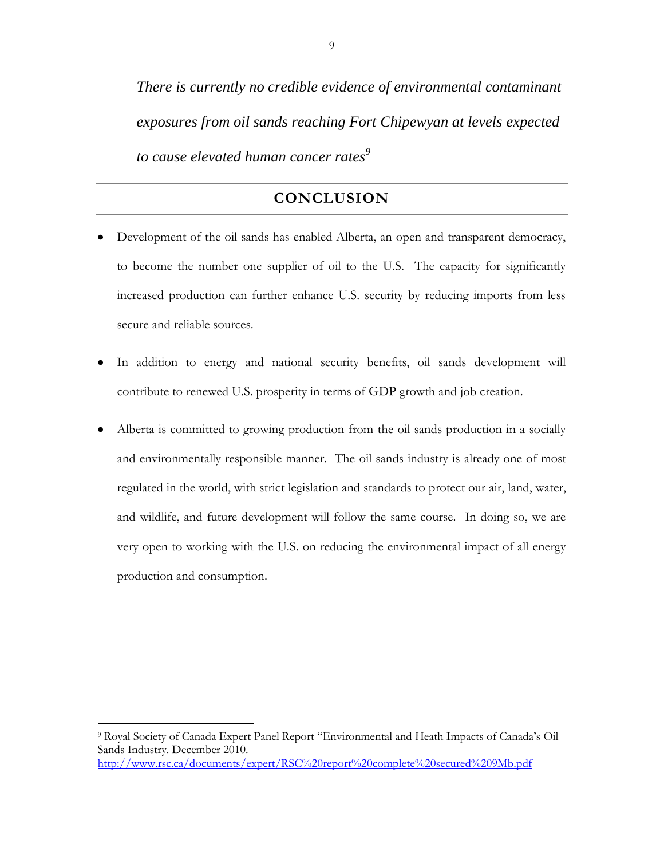*There is currently no credible evidence of environmental contaminant exposures from oil sands reaching Fort Chipewyan at levels expected to cause elevated human cancer rates<sup>9</sup>*

## **CONCLUSION**

- Development of the oil sands has enabled Alberta, an open and transparent democracy, to become the number one supplier of oil to the U.S. The capacity for significantly increased production can further enhance U.S. security by reducing imports from less secure and reliable sources.
- In addition to energy and national security benefits, oil sands development will contribute to renewed U.S. prosperity in terms of GDP growth and job creation.
- Alberta is committed to growing production from the oil sands production in a socially and environmentally responsible manner. The oil sands industry is already one of most regulated in the world, with strict legislation and standards to protect our air, land, water, and wildlife, and future development will follow the same course. In doing so, we are very open to working with the U.S. on reducing the environmental impact of all energy production and consumption.

 $\overline{a}$ 

<sup>9</sup> Royal Society of Canada Expert Panel Report "Environmental and Heath Impacts of Canada's Oil Sands Industry. December 2010. <http://www.rsc.ca/documents/expert/RSC%20report%20complete%20secured%209Mb.pdf>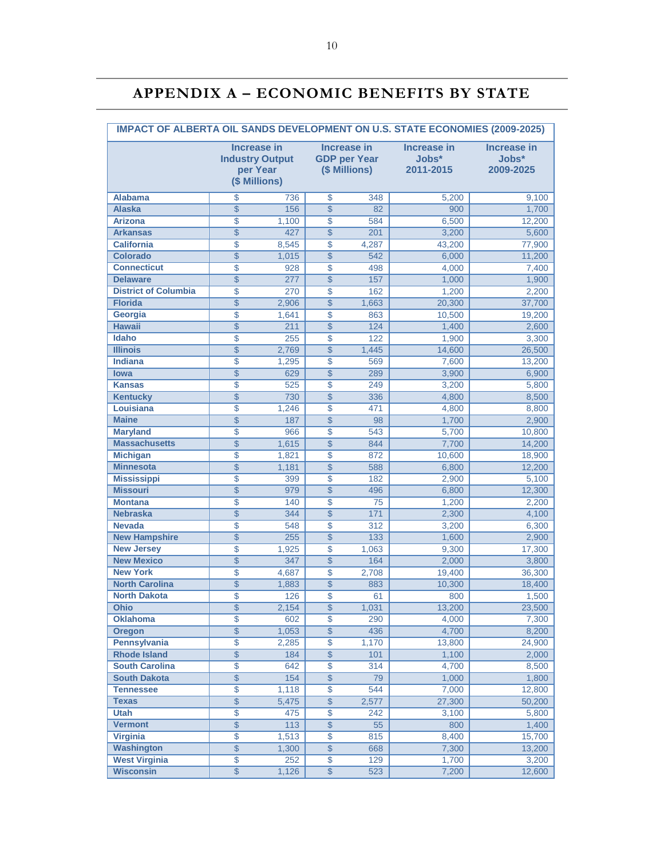# **APPENDIX A – ECONOMIC BENEFITS BY STATE**

| <b>IMPACT OF ALBERTA OIL SANDS DEVELOPMENT ON U.S. STATE ECONOMIES (2009-2025)</b> |                          |                                                                                                                                         |                 |       |                                          |                                          |  |
|------------------------------------------------------------------------------------|--------------------------|-----------------------------------------------------------------------------------------------------------------------------------------|-----------------|-------|------------------------------------------|------------------------------------------|--|
|                                                                                    |                          | <b>Increase in</b><br><b>Increase in</b><br><b>GDP per Year</b><br><b>Industry Output</b><br>per Year<br>(\$ Millions)<br>(\$ Millions) |                 |       | <b>Increase in</b><br>Jobs*<br>2011-2015 | <b>Increase in</b><br>Jobs*<br>2009-2025 |  |
| <b>Alabama</b>                                                                     | \$                       | 736                                                                                                                                     | \$              | 348   | 5.200                                    | 9,100                                    |  |
| <b>Alaska</b>                                                                      | $\overline{\$}$          | 156                                                                                                                                     | $\overline{\$}$ | 82    | 900                                      | 1,700                                    |  |
| <b>Arizona</b>                                                                     | \$                       | 1,100                                                                                                                                   | \$              | 584   | 6,500                                    | 12,200                                   |  |
| <b>Arkansas</b>                                                                    | $\overline{\$}$          | 427                                                                                                                                     | $\overline{\$}$ | 201   | 3,200                                    | 5,600                                    |  |
| <b>California</b>                                                                  | $\overline{\$}$          | 8,545                                                                                                                                   | $\overline{\$}$ | 4,287 | 43.200                                   | 77,900                                   |  |
| <b>Colorado</b>                                                                    | $\overline{\$}$          | 1,015                                                                                                                                   | $\overline{\$}$ | 542   | 6,000                                    | 11,200                                   |  |
| <b>Connecticut</b>                                                                 | \$                       | 928                                                                                                                                     | \$              | 498   | 4,000                                    | 7,400                                    |  |
| <b>Delaware</b>                                                                    | $\overline{\$}$          | 277                                                                                                                                     | $\overline{\$}$ | 157   | 1,000                                    | 1,900                                    |  |
| <b>District of Columbia</b>                                                        | $\overline{\$}$          | 270                                                                                                                                     | $\overline{\$}$ | 162   | 1,200                                    | 2,200                                    |  |
| <b>Florida</b>                                                                     | $\overline{\$}$          | 2,906                                                                                                                                   | $\overline{\$}$ | 1,663 | 20,300                                   | 37,700                                   |  |
| Georgia                                                                            | \$                       | 1,641                                                                                                                                   | \$              | 863   | 10,500                                   | 19,200                                   |  |
| <b>Hawaii</b>                                                                      | $\overline{\$}$          | 211                                                                                                                                     | $\overline{\$}$ | 124   | 1,400                                    | 2,600                                    |  |
| <b>Idaho</b>                                                                       | \$                       | 255                                                                                                                                     | \$              | 122   | 1,900                                    | 3,300                                    |  |
| <b>Illinois</b>                                                                    | $\overline{\$}$          | 2,769                                                                                                                                   | $\overline{\$}$ | 1,445 | 14,600                                   | 26,500                                   |  |
| <b>Indiana</b>                                                                     | $\overline{\$}$          | 1,295                                                                                                                                   | $\overline{\$}$ | 569   | 7,600                                    | 13,200                                   |  |
| <b>lowa</b>                                                                        | $\overline{\mathcal{S}}$ | 629                                                                                                                                     | $\overline{\$}$ | 289   | 3,900                                    | 6,900                                    |  |
| <b>Kansas</b>                                                                      | \$                       | 525                                                                                                                                     | \$              | 249   | 3,200                                    | 5,800                                    |  |
| <b>Kentucky</b>                                                                    | $\overline{\$}$          | 730                                                                                                                                     | $\overline{\$}$ | 336   | 4,800                                    | 8,500                                    |  |
| Louisiana                                                                          | $\overline{\$}$          | 1,246                                                                                                                                   | $\overline{\$}$ | 471   | 4,800                                    | 8,800                                    |  |
| <b>Maine</b>                                                                       | $\overline{\$}$          | 187                                                                                                                                     | $\overline{\$}$ | 98    | 1,700                                    | 2,900                                    |  |
| <b>Maryland</b>                                                                    | \$                       | 966                                                                                                                                     | \$              | 543   | 5,700                                    | 10,800                                   |  |
| <b>Massachusetts</b>                                                               | $\overline{\$}$          | 1,615                                                                                                                                   | $\overline{\$}$ | 844   | 7,700                                    | 14,200                                   |  |
| <b>Michigan</b>                                                                    | \$                       | 1,821                                                                                                                                   | \$              | 872   | 10,600                                   | 18,900                                   |  |
| <b>Minnesota</b>                                                                   | $\overline{\$}$          | 1,181                                                                                                                                   | $\overline{\$}$ | 588   | 6,800                                    | 12,200                                   |  |
| <b>Mississippi</b>                                                                 | $\overline{\$}$          | 399                                                                                                                                     | $\overline{\$}$ | 182   | 2,900                                    | 5,100                                    |  |
| <b>Missouri</b>                                                                    | $\overline{\$}$          | 979                                                                                                                                     | $\overline{\$}$ | 496   | 6,800                                    | 12,300                                   |  |
| <b>Montana</b>                                                                     | \$                       | 140                                                                                                                                     | \$              | 75    | 1,200                                    | 2,200                                    |  |
| <b>Nebraska</b>                                                                    | $\overline{\$}$          | 344                                                                                                                                     | $\overline{\$}$ | $171$ | 2,300                                    | 4,100                                    |  |
| <b>Nevada</b>                                                                      | $\overline{\$}$          | 548                                                                                                                                     | $\overline{\$}$ | 312   | 3,200                                    | 6,300                                    |  |
| <b>New Hampshire</b>                                                               | $\overline{\$}$          | 255                                                                                                                                     | $\overline{\$}$ | $133$ | 1,600                                    | 2,900                                    |  |
| <b>New Jersey</b>                                                                  | \$                       | 1,925                                                                                                                                   | \$              | 1,063 | 9,300                                    | 17,300                                   |  |
| <b>New Mexico</b>                                                                  | $\overline{\$}$          | 347                                                                                                                                     | $\overline{\$}$ | 164   | 2,000                                    | 3,800                                    |  |
| <b>New York</b>                                                                    | \$                       | 4,687                                                                                                                                   | \$              | 2,708 | 19,400                                   | 36,300                                   |  |
| <b>North Carolina</b>                                                              | $\overline{\$}$          | 1,883                                                                                                                                   | $\overline{\$}$ | 883   | 10,300                                   | 18,400                                   |  |
| <b>North Dakota</b>                                                                | $\overline{\$}$          | 126                                                                                                                                     | $\overline{\$}$ | 61    | 800                                      | 1,500                                    |  |
| Ohio                                                                               | \$                       | 2,154                                                                                                                                   | $\overline{\$}$ | 1,031 | 13,200                                   | 23,500                                   |  |
| <b>Oklahoma</b>                                                                    | \$                       | 602                                                                                                                                     | \$              | 290   | 4,000                                    | 7,300                                    |  |
| <b>Oregon</b>                                                                      | \$                       | 1,053                                                                                                                                   | $\overline{\$}$ | 436   | 4,700                                    | 8,200                                    |  |
| Pennsylvania                                                                       | \$                       | 2,285                                                                                                                                   | $\overline{\$}$ | 1,170 | 13,800                                   | 24,900                                   |  |
| <b>Rhode Island</b>                                                                | $\overline{\$}$          | 184                                                                                                                                     | $\overline{\$}$ | 101   | 1,100                                    | 2,000                                    |  |
| <b>South Carolina</b>                                                              | \$                       | 642                                                                                                                                     | \$              | 314   | 4,700                                    | 8,500                                    |  |
| <b>South Dakota</b>                                                                | $\overline{\$}$          | 154                                                                                                                                     | $\overline{\$}$ | 79    | 1,000                                    | 1,800                                    |  |
| <b>Tennessee</b>                                                                   | \$                       | 1,118                                                                                                                                   | $\overline{\$}$ | 544   | 7,000                                    | 12,800                                   |  |
| <b>Texas</b>                                                                       | $\overline{\$}$          | 5,475                                                                                                                                   | $\overline{\$}$ | 2,577 | 27,300                                   | 50,200                                   |  |
| <b>Utah</b>                                                                        | $\overline{\$}$          | 475                                                                                                                                     | $\overline{\$}$ | 242   | 3,100                                    | 5,800                                    |  |
| <b>Vermont</b>                                                                     | \$                       | 113                                                                                                                                     | $\overline{\$}$ | 55    | 800                                      | 1,400                                    |  |
| <b>Virginia</b>                                                                    | \$                       | 1,513                                                                                                                                   | \$              | 815   | 8,400                                    | 15,700                                   |  |
| <b>Washington</b>                                                                  | $\overline{\$}$          | 1,300                                                                                                                                   | $\overline{\$}$ | 668   | 7,300                                    | 13,200                                   |  |
| <b>West Virginia</b>                                                               | $\overline{\$}$          | 252                                                                                                                                     | $\overline{\$}$ | 129   | 1,700                                    | 3,200                                    |  |
| <b>Wisconsin</b>                                                                   | $\overline{\$}$          | 1,126                                                                                                                                   | $\overline{\$}$ | 523   | 7,200                                    | 12,600                                   |  |